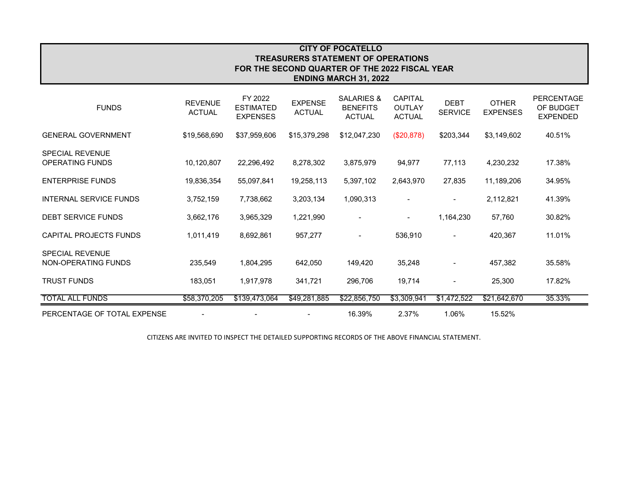## **CITY OF POCATELLO TREASURERS STATEMENT OF OPERATIONS FOR THE SECOND QUARTER OF THE 2022 FISCAL YEAR ENDING MARCH 31, 2022**

| <b>FUNDS</b>                                     | <b>REVENUE</b><br><b>ACTUAL</b> | FY 2022<br><b>ESTIMATED</b><br><b>EXPENSES</b> | <b>EXPENSE</b><br><b>ACTUAL</b> | <b>SALARIES &amp;</b><br><b>BENEFITS</b><br><b>ACTUAL</b> | <b>CAPITAL</b><br><b>OUTLAY</b><br><b>ACTUAL</b> | <b>DEBT</b><br><b>SERVICE</b> | <b>OTHER</b><br><b>EXPENSES</b> | <b>PERCENTAGE</b><br>OF BUDGET<br><b>EXPENDED</b> |
|--------------------------------------------------|---------------------------------|------------------------------------------------|---------------------------------|-----------------------------------------------------------|--------------------------------------------------|-------------------------------|---------------------------------|---------------------------------------------------|
| <b>GENERAL GOVERNMENT</b>                        | \$19,568,690                    | \$37,959,606                                   | \$15,379,298                    | \$12,047,230                                              | (\$20,878)                                       | \$203,344                     | \$3,149,602                     | 40.51%                                            |
| <b>SPECIAL REVENUE</b><br><b>OPERATING FUNDS</b> | 10,120,807                      | 22,296,492                                     | 8,278,302                       | 3,875,979                                                 | 94,977                                           | 77,113                        | 4,230,232                       | 17.38%                                            |
| <b>ENTERPRISE FUNDS</b>                          | 19,836,354                      | 55,097,841                                     | 19,258,113                      | 5,397,102                                                 | 2,643,970                                        | 27,835                        | 11,189,206                      | 34.95%                                            |
| <b>INTERNAL SERVICE FUNDS</b>                    | 3,752,159                       | 7,738,662                                      | 3,203,134                       | 1,090,313                                                 |                                                  | $\overline{\phantom{a}}$      | 2,112,821                       | 41.39%                                            |
| DEBT SERVICE FUNDS                               | 3,662,176                       | 3,965,329                                      | 1,221,990                       |                                                           | $\overline{\phantom{a}}$                         | 1,164,230                     | 57,760                          | 30.82%                                            |
| CAPITAL PROJECTS FUNDS                           | 1,011,419                       | 8,692,861                                      | 957,277                         | $\blacksquare$                                            | 536,910                                          | $\blacksquare$                | 420,367                         | 11.01%                                            |
| <b>SPECIAL REVENUE</b><br>NON-OPERATING FUNDS    | 235,549                         | 1,804,295                                      | 642,050                         | 149,420                                                   | 35,248                                           |                               | 457,382                         | 35.58%                                            |
| <b>TRUST FUNDS</b>                               | 183,051                         | 1,917,978                                      | 341,721                         | 296,706                                                   | 19,714                                           | $\overline{\phantom{a}}$      | 25,300                          | 17.82%                                            |
| <b>TOTAL ALL FUNDS</b>                           | \$58,370,205                    | \$139,473,064                                  | \$49,281,885                    | \$22,856,750                                              | \$3,309,941                                      | \$1,472,522                   | \$21,642,670                    | 35.33%                                            |
| PERCENTAGE OF TOTAL EXPENSE                      |                                 |                                                |                                 | 16.39%                                                    | 2.37%                                            | 1.06%                         | 15.52%                          |                                                   |

CITIZENS ARE INVITED TO INSPECT THE DETAILED SUPPORTING RECORDS OF THE ABOVE FINANCIAL STATEMENT.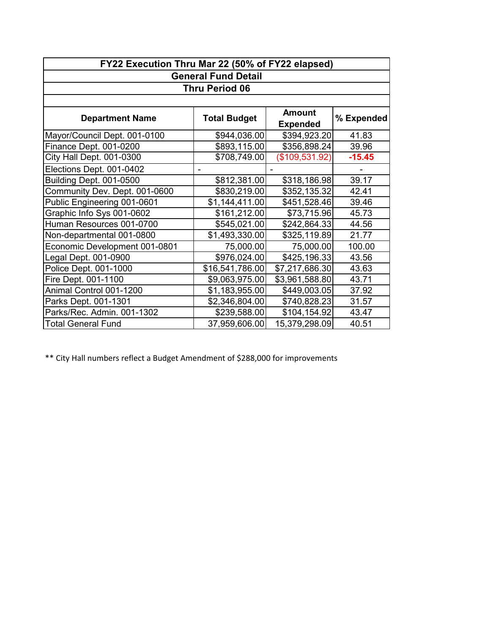| FY22 Execution Thru Mar 22 (50% of FY22 elapsed) |                     |                           |            |  |  |
|--------------------------------------------------|---------------------|---------------------------|------------|--|--|
| <b>General Fund Detail</b>                       |                     |                           |            |  |  |
| <b>Thru Period 06</b>                            |                     |                           |            |  |  |
|                                                  |                     |                           |            |  |  |
| <b>Department Name</b>                           | <b>Total Budget</b> | Amount<br><b>Expended</b> | % Expended |  |  |
| Mayor/Council Dept. 001-0100                     | \$944,036.00        | \$394,923.20              | 41.83      |  |  |
| Finance Dept. 001-0200                           | \$893,115.00        | \$356,898.24              | 39.96      |  |  |
| City Hall Dept. 001-0300                         | \$708,749.00        | (\$109,531.92)            | $-15.45$   |  |  |
| Elections Dept. 001-0402                         |                     |                           |            |  |  |
| Building Dept. 001-0500                          | \$812,381.00        | \$318,186.98              | 39.17      |  |  |
| Community Dev. Dept. 001-0600                    | \$830,219.00        | \$352,135.32              | 42.41      |  |  |
| Public Engineering 001-0601                      | \$1,144,411.00      | \$451,528.46              | 39.46      |  |  |
| Graphic Info Sys 001-0602                        | \$161,212.00        | \$73,715.96               | 45.73      |  |  |
| Human Resources 001-0700                         | \$545,021.00        | \$242,864.33              | 44.56      |  |  |
| Non-departmental 001-0800                        | \$1,493,330.00      | \$325,119.89              | 21.77      |  |  |
| Economic Development 001-0801                    | 75,000.00           | 75,000.00                 | 100.00     |  |  |
| Legal Dept. 001-0900                             | \$976,024.00        | \$425,196.33              | 43.56      |  |  |
| Police Dept. 001-1000                            | \$16,541,786.00     | \$7,217,686.30            | 43.63      |  |  |
| Fire Dept. 001-1100                              | \$9,063,975.00      | \$3,961,588.80            | 43.71      |  |  |
| Animal Control 001-1200                          | \$1,183,955.00      | \$449,003.05              | 37.92      |  |  |
| Parks Dept. 001-1301                             | \$2,346,804.00      | \$740,828.23              | 31.57      |  |  |
| Parks/Rec. Admin. 001-1302                       | \$239,588.00        | \$104,154.92              | 43.47      |  |  |
| <b>Total General Fund</b>                        | 37,959,606.00       | 15,379,298.09             | 40.51      |  |  |

\*\* City Hall numbers reflect a Budget Amendment of \$288,000 for improvements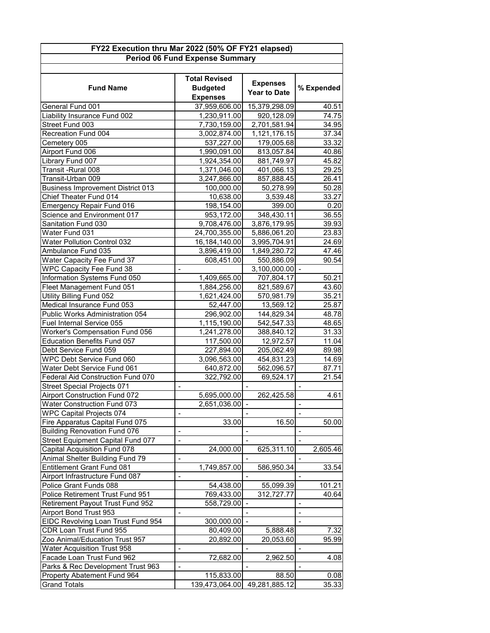| FY22 Execution thru Mar 2022 (50% OF FY21 elapsed) |                              |                              |                          |  |  |
|----------------------------------------------------|------------------------------|------------------------------|--------------------------|--|--|
| <b>Period 06 Fund Expense Summary</b>              |                              |                              |                          |  |  |
|                                                    |                              |                              |                          |  |  |
|                                                    | <b>Total Revised</b>         |                              |                          |  |  |
| <b>Fund Name</b>                                   | <b>Budgeted</b>              | <b>Expenses</b>              | % Expended               |  |  |
|                                                    | <b>Expenses</b>              | <b>Year to Date</b>          |                          |  |  |
| General Fund 001                                   | 37,959,606.00                | 15,379,298.09                | 40.51                    |  |  |
| Liability Insurance Fund 002                       | 1,230,911.00                 | 920,128.09                   | 74.75                    |  |  |
| Street Fund 003                                    | 7,730,159.00                 | 2,701,581.94                 | 34.95                    |  |  |
| Recreation Fund 004                                | 3,002,874.00                 | 1,121,176.15                 | 37.34                    |  |  |
| Cemetery 005                                       | 537,227.00                   | 179,005.68                   | 33.32                    |  |  |
| Airport Fund 006                                   | 1,990,091.00                 | 813,057.84                   | 40.86                    |  |  |
| Library Fund 007                                   | 1,924,354.00                 | 881,749.97                   | 45.82                    |  |  |
| Transit - Rural 008                                | 1,371,046.00                 | 401,066.13                   | 29.25                    |  |  |
| Transit-Urban 009                                  | 3,247,866.00                 | 857,888.45                   | 26.41                    |  |  |
| <b>Business Improvement District 013</b>           | 100,000.00                   | 50,278.99                    | 50.28                    |  |  |
| Chief Theater Fund 014                             | 10,638.00                    | 3,539.48                     | 33.27                    |  |  |
| <b>Emergency Repair Fund 016</b>                   | 198,154.00                   | 399.00                       | 0.20                     |  |  |
| Science and Environment 017                        | 953,172.00                   | 348,430.11                   | 36.55                    |  |  |
| Sanitation Fund 030                                | 9,708,476.00                 | 3,876,179.95                 | 39.93                    |  |  |
| Water Fund 031                                     | 24,700,355.00                | 5,886,061.20                 | 23.83                    |  |  |
| Water Pollution Control 032                        | 16,184,140.00                | 3,995,704.91                 | 24.69                    |  |  |
| Ambulance Fund 035                                 | 3,896,419.00                 | 1,849,280.72                 | 47.46                    |  |  |
| Water Capacity Fee Fund 37                         | 608,451.00                   | 550,886.09                   | 90.54                    |  |  |
| <b>WPC Capacity Fee Fund 38</b>                    | $\blacksquare$               | $3,100,000.00$ -             |                          |  |  |
| Information Systems Fund 050                       | 1,409,665.00                 | 707,804.17                   | 50.21                    |  |  |
| Fleet Management Fund 051                          | 1,884,256.00                 | 821,589.67                   | 43.60                    |  |  |
| Utility Billing Fund 052                           | 1,621,424.00                 | 570,981.79                   | 35.21                    |  |  |
| Medical Insurance Fund 053                         | 52,447.00                    | 13,569.12                    | 25.87                    |  |  |
| Public Works Administration 054                    | 296,902.00                   | 144,829.34                   | 48.78                    |  |  |
| Fuel Internal Service 055                          | 1,115,190.00                 | 542,547.33                   | 48.65                    |  |  |
| Worker's Compensation Fund 056                     | 1,241,278.00                 | 388,840.12                   | 31.33                    |  |  |
| <b>Education Benefits Fund 057</b>                 | 117,500.00                   | 12,972.57                    | 11.04                    |  |  |
| Debt Service Fund 059                              | 227,894.00                   | 205,062.49                   | 89.98                    |  |  |
| WPC Debt Service Fund 060                          | 3,096,563.00                 | 454,831.23                   | 14.69                    |  |  |
| Water Debt Service Fund 061                        | 640,872.00                   | 562,096.57                   | 87.71                    |  |  |
| Federal Aid Construction Fund 070                  | 322,792.00                   | 69,524.17                    | 21.54                    |  |  |
| <b>Street Special Projects 071</b>                 | $\frac{1}{2}$                |                              |                          |  |  |
| <b>Airport Construction Fund 072</b>               | 5,695,000.00                 | 262,425.58                   | 4.61                     |  |  |
| Water Construction Fund 073                        | $2,651,036.00$ -             |                              |                          |  |  |
| <b>WPC Capital Projects 074</b>                    |                              |                              |                          |  |  |
| Fire Apparatus Capital Fund 075                    | 33.00                        | 16.50                        | 50.00                    |  |  |
| <b>Building Renovation Fund 076</b>                |                              |                              |                          |  |  |
| <b>Street Equipment Capital Fund 077</b>           | $\overline{a}$               | $\overline{a}$               | $\Box$                   |  |  |
| Capital Acquisition Fund 078                       | 24,000.00                    | 625,311.10                   | 2,605.46                 |  |  |
| Animal Shelter Building Fund 79                    | $\qquad \qquad \blacksquare$ | $\blacksquare$               | $\blacksquare$           |  |  |
| Entitlement Grant Fund 081                         | 1,749,857.00                 | 586,950.34                   | 33.54                    |  |  |
| Airport Infrastructure Fund 087                    | $\frac{1}{2}$                | $\overline{\phantom{a}}$     | $\blacksquare$           |  |  |
| Police Grant Funds 088                             | 54,438.00                    | 55,099.39                    | 101.21                   |  |  |
| Police Retirement Trust Fund 951                   | 769,433.00                   | 312,727.77                   | 40.64                    |  |  |
| Retirement Payout Trust Fund 952                   | 558,729.00                   |                              |                          |  |  |
| Airport Bond Trust 953                             | $\overline{a}$               |                              | $\overline{a}$           |  |  |
| EIDC Revolving Loan Trust Fund 954                 | 300,000.00                   | $\mathcal{L}$                | $\overline{a}$           |  |  |
| CDR Loan Trust Fund 955                            | 80,409.00                    | 5,888.48                     | 7.32                     |  |  |
| Zoo Animal/Education Trust 957                     | 20,892.00                    | 20,053.60                    | 95.99                    |  |  |
| <b>Water Acquisition Trust 958</b>                 | $\overline{a}$               | $\qquad \qquad \blacksquare$ | $\overline{\phantom{a}}$ |  |  |
| Facade Loan Trust Fund 962                         | 72,682.00                    | 2,962.50                     | 4.08                     |  |  |
| Parks & Rec Development Trust 963                  |                              |                              |                          |  |  |
| Property Abatement Fund 964                        | 115,833.00                   | 88.50                        | 0.08                     |  |  |
| <b>Grand Totals</b>                                | 139,473,064.00               | 49,281,885.12                | 35.33                    |  |  |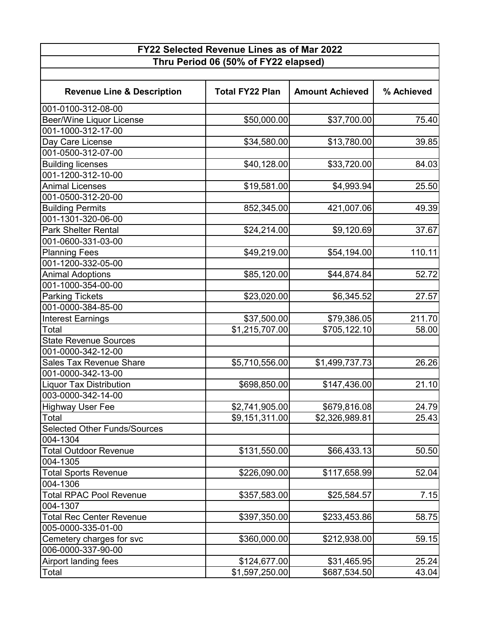## **FY22 Selected Revenue Lines as of Mar 2022 Thru Period 06 (50% of FY22 elapsed)**

| <b>Revenue Line &amp; Description</b> | <b>Total FY22 Plan</b> | <b>Amount Achieved</b> | % Achieved |
|---------------------------------------|------------------------|------------------------|------------|
| 001-0100-312-08-00                    |                        |                        |            |
| Beer/Wine Liquor License              | \$50,000.00            | \$37,700.00            | 75.40      |
| 001-1000-312-17-00                    |                        |                        |            |
| Day Care License                      | \$34,580.00            | \$13,780.00            | 39.85      |
| 001-0500-312-07-00                    |                        |                        |            |
| <b>Building licenses</b>              | \$40,128.00            | \$33,720.00            | 84.03      |
| 001-1200-312-10-00                    |                        |                        |            |
| <b>Animal Licenses</b>                | \$19,581.00            | \$4,993.94             | 25.50      |
| 001-0500-312-20-00                    |                        |                        |            |
| <b>Building Permits</b>               | 852,345.00             | 421,007.06             | 49.39      |
| 001-1301-320-06-00                    |                        |                        |            |
| <b>Park Shelter Rental</b>            | \$24,214.00            | \$9,120.69             | 37.67      |
| 001-0600-331-03-00                    |                        |                        |            |
| <b>Planning Fees</b>                  | \$49,219.00            | \$54,194.00            | 110.11     |
| 001-1200-332-05-00                    |                        |                        |            |
| <b>Animal Adoptions</b>               | \$85,120.00            | \$44,874.84            | 52.72      |
| 001-1000-354-00-00                    |                        |                        |            |
| <b>Parking Tickets</b>                | \$23,020.00            | \$6,345.52             | 27.57      |
| 001-0000-384-85-00                    |                        |                        |            |
| <b>Interest Earnings</b>              | \$37,500.00            | \$79,386.05            | 211.70     |
| Total                                 | \$1,215,707.00         | \$705,122.10           | 58.00      |
| <b>State Revenue Sources</b>          |                        |                        |            |
| 001-0000-342-12-00                    |                        |                        |            |
| <b>Sales Tax Revenue Share</b>        | \$5,710,556.00         | \$1,499,737.73         | 26.26      |
| 001-0000-342-13-00                    |                        |                        |            |
| <b>Liquor Tax Distribution</b>        | \$698,850.00           | \$147,436.00           | 21.10      |
| 003-0000-342-14-00                    |                        |                        |            |
| <b>Highway User Fee</b>               | \$2,741,905.00         | \$679,816.08           | 24.79      |
| Total                                 | \$9,151,311.00         | \$2,326,989.81         | 25.43      |
| <b>Selected Other Funds/Sources</b>   |                        |                        |            |
| 004-1304                              |                        |                        |            |
| <b>Total Outdoor Revenue</b>          | \$131,550.00           | \$66,433.13            | 50.50      |
| 004-1305                              |                        |                        |            |
| <b>Total Sports Revenue</b>           | \$226,090.00           | \$117,658.99           | 52.04      |
| 004-1306                              |                        |                        |            |
| <b>Total RPAC Pool Revenue</b>        | \$357,583.00           | \$25,584.57            | 7.15       |
| 004-1307                              |                        |                        |            |
| <b>Total Rec Center Revenue</b>       | \$397,350.00           | \$233,453.86           | 58.75      |
| 005-0000-335-01-00                    |                        |                        |            |
| Cemetery charges for svc              | \$360,000.00           | \$212,938.00           | 59.15      |
| 006-0000-337-90-00                    |                        |                        |            |
| Airport landing fees                  | \$124,677.00           | \$31,465.95            | 25.24      |
| Total                                 | \$1,597,250.00         | \$687,534.50           | 43.04      |